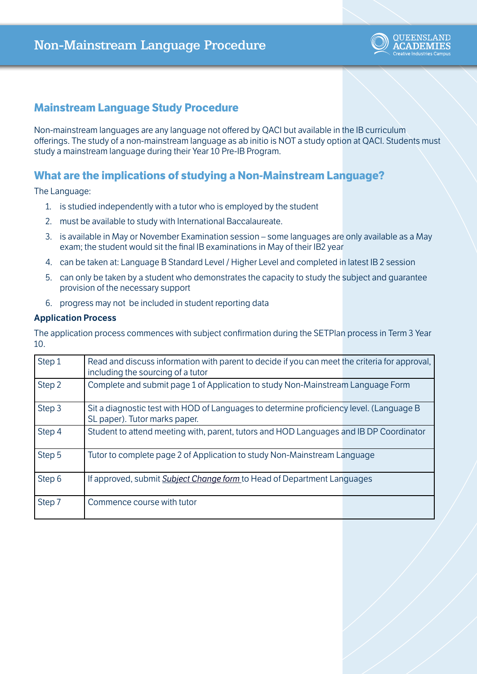

## **Mainstream Language Study Procedure**

Non-mainstream languages are any language not offered by QACI but available in the IB curriculum offerings. The study of a non-mainstream language as ab initio is NOT a study option at QACI. Students must study a mainstream language during their Year 10 Pre-IB Program.

## **What are the implications of studying a Non-Mainstream Language?**

The Language:

- 1. is studied independently with a tutor who is employed by the student
- 2. must be available to study with International Baccalaureate.
- 3. is available in May or November Examination session some languages are only available as a May exam; the student would sit the final IB examinations in May of their IB2 year
- 4. can be taken at: Language B Standard Level / Higher Level and completed in latest IB 2 session
- 5. can only be taken by a student who demonstrates the capacity to study the subject and guarantee provision of the necessary support
- 6. progress may not be included in student reporting data

#### **Application Process**

The application process commences with subject confirmation during the SETPlan process in Term 3 Year 10.

| Step 1 | Read and discuss information with parent to decide if you can meet the criteria for approval,<br>including the sourcing of a tutor |  |
|--------|------------------------------------------------------------------------------------------------------------------------------------|--|
| Step 2 | Complete and submit page 1 of Application to study Non-Mainstream Language Form                                                    |  |
| Step 3 | Sit a diagnostic test with HOD of Languages to determine proficiency level. (Language B<br>SL paper). Tutor marks paper.           |  |
| Step 4 | Student to attend meeting with, parent, tutors and HOD Languages and IB DP Coordinator                                             |  |
| Step 5 | Tutor to complete page 2 of Application to study Non-Mainstream Language                                                           |  |
| Step 6 | If approved, submit <i>Subject Change form</i> to Head of Department Languages                                                     |  |
| Step 7 | Commence course with tutor                                                                                                         |  |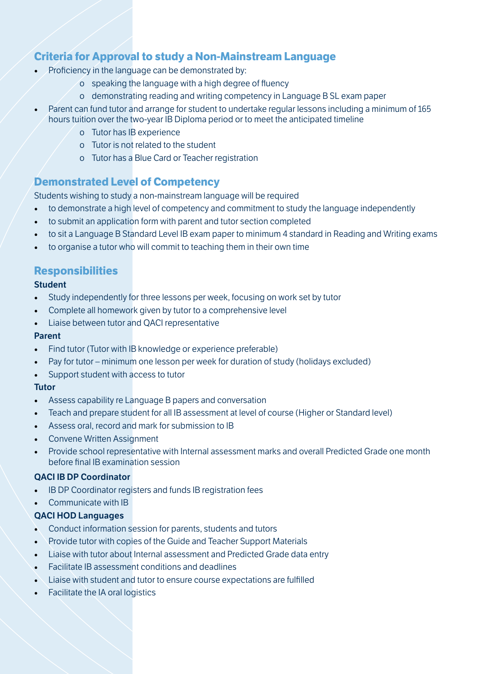## **Criteria for Approval to study a Non-Mainstream Language**

- Proficiency in the language can be demonstrated by:
	- o speaking the language with a high degree of fluency
	- o demonstrating reading and writing competency in Language B SL exam paper
- Parent can fund tutor and arrange for student to undertake regular lessons including a minimum of 165 hours tuition over the two-year IB Diploma period or to meet the anticipated timeline
	- o Tutor has IB experience
	- o Tutor is not related to the student
	- o Tutor has a Blue Card or Teacher registration

### **Demonstrated Level of Competency**

Students wishing to study a non-mainstream language will be required

- to demonstrate a high level of competency and commitment to study the language independently
- to submit an application form with parent and tutor section completed
- to sit a Language B Standard Level IB exam paper to minimum 4 standard in Reading and Writing exams
- to organise a tutor who will commit to teaching them in their own time

#### **Responsibilities**

#### **Student**

- Study independently for three lessons per week, focusing on work set by tutor
- Complete all homework given by tutor to a comprehensive level
- Liaise between tutor and QACI representative

#### **Parent**

- Find tutor (Tutor with IB knowledge or experience preferable)
- Pay for tutor minimum one lesson per week for duration of study (holidays excluded)
- Support student with access to tutor

#### **Tutor**

- Assess capability re Language B papers and conversation
- Teach and prepare student for all IB assessment at level of course (Higher or Standard level)
- Assess oral, record and mark for submission to IB
- Convene Written Assignment
- Provide school representative with Internal assessment marks and overall Predicted Grade one month before final IB examination session

#### **QACI IB DP Coordinator**

- IB DP Coordinator registers and funds IB registration fees
- Communicate with IB

#### **QACI HOD Languages**

- Conduct information session for parents, students and tutors
- Provide tutor with copies of the Guide and Teacher Support Materials
- Liaise with tutor about Internal assessment and Predicted Grade data entry
- Facilitate IB assessment conditions and deadlines
- Liaise with student and tutor to ensure course expectations are fulfilled
- Facilitate the IA oral logistics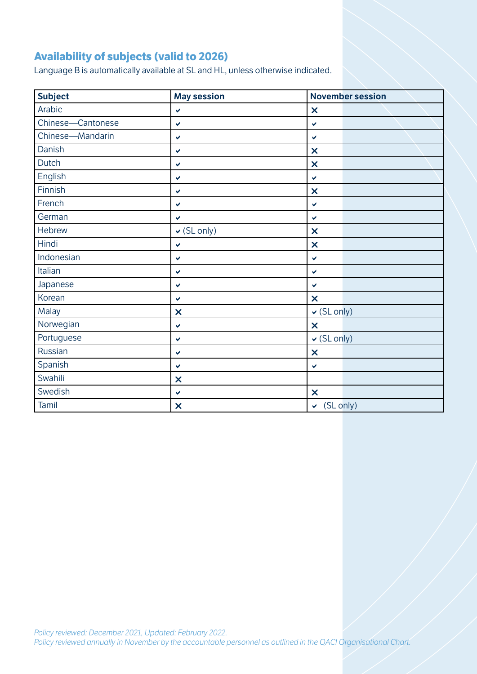## **Availability of subjects (valid to 2026)**

Language B is automatically available at SL and HL, unless otherwise indicated.

| <b>Subject</b>    | <b>May session</b>        | <b>November session</b>   |  |
|-------------------|---------------------------|---------------------------|--|
| Arabic            | $\checkmark$              | $\boldsymbol{\mathsf{x}}$ |  |
| Chinese-Cantonese | $\checkmark$              | $\checkmark$              |  |
| Chinese-Mandarin  | $\checkmark$              | V                         |  |
| Danish            | $\checkmark$              | $\boldsymbol{\mathsf{x}}$ |  |
| <b>Dutch</b>      | $\checkmark$              | $\boldsymbol{\mathsf{x}}$ |  |
| English           | $\checkmark$              | V                         |  |
| Finnish           | V                         | $\boldsymbol{\mathsf{x}}$ |  |
| French            | ✔                         | ✔                         |  |
| German            | $\checkmark$              | $\checkmark$              |  |
| <b>Hebrew</b>     | $\checkmark$ (SL only)    | $\boldsymbol{\mathsf{x}}$ |  |
| Hindi             | $\checkmark$              | $\boldsymbol{\mathsf{x}}$ |  |
| Indonesian        | $\checkmark$              | V                         |  |
| Italian           | $\checkmark$              | V                         |  |
| Japanese          | V                         | V                         |  |
| Korean            | V                         | $\boldsymbol{\mathsf{x}}$ |  |
| Malay             | $\boldsymbol{\mathsf{x}}$ | $\checkmark$ (SL only)    |  |
| Norwegian         | ✔                         | $\boldsymbol{\mathsf{x}}$ |  |
| Portuguese        | V                         | $\checkmark$ (SL only)    |  |
| Russian           | V                         | $\boldsymbol{\mathsf{x}}$ |  |
| Spanish           | $\checkmark$              | $\checkmark$              |  |
| Swahili           | $\boldsymbol{\mathsf{x}}$ |                           |  |
| Swedish           | $\checkmark$              | $\boldsymbol{\mathsf{x}}$ |  |
| Tamil             | $\boldsymbol{\mathsf{x}}$ | (SL only)<br>Ý.           |  |

*Policy reviewed annually in November by the accountable personnel as outlined in the QACI Organisational Chart.*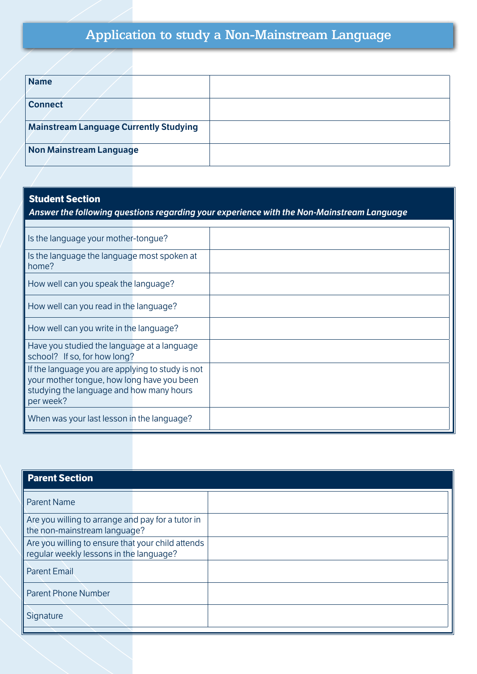# Application to study a Non-Mainstream Language

| <b>Name</b>                                   |  |
|-----------------------------------------------|--|
| <b>Connect</b>                                |  |
| <b>Mainstream Language Currently Studying</b> |  |
| <b>Non Mainstream Language</b>                |  |

## **Student Section**

*Answer the following questions regarding your experience with the Non-Mainstream Language*

| Is the language your mother-tongue?                                                                                                                     |  |
|---------------------------------------------------------------------------------------------------------------------------------------------------------|--|
| Is the language the language most spoken at<br>home?                                                                                                    |  |
| How well can you speak the language?                                                                                                                    |  |
| How well can you read in the language?                                                                                                                  |  |
| How well can you write in the language?                                                                                                                 |  |
| Have you studied the language at a language<br>school? If so, for how long?                                                                             |  |
| If the language you are applying to study is not<br>your mother tonque, how long have you been<br>studying the language and how many hours<br>per week? |  |
| When was your last lesson in the language?                                                                                                              |  |

| <b>Parent Section</b>                                                                        |  |
|----------------------------------------------------------------------------------------------|--|
| Parent Name                                                                                  |  |
| Are you willing to arrange and pay for a tutor in<br>the non-mainstream language?            |  |
| Are you willing to ensure that your child attends<br>regular weekly lessons in the language? |  |
| <b>Parent Email</b>                                                                          |  |
| <b>Parent Phone Number</b>                                                                   |  |
| Signature                                                                                    |  |